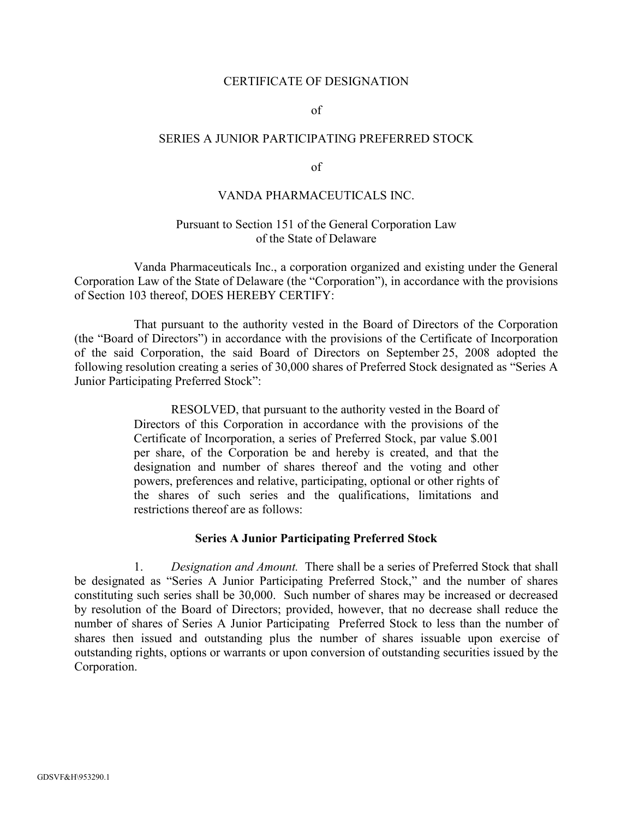### CERTIFICATE OF DESIGNATION

of

## SERIES A JUNIOR PARTICIPATING PREFERRED STOCK

of

# VANDA PHARMACEUTICALS INC.<br>Pursuant to Section 151 of the General Corporation Law of the State of Delaware

Vanda Pharmaceuticals Inc., a corporation organized and existing under the General Corporation Law of the State of Delaware (the "Corporation"), in accordance with the provisions of Section 103 thereof, DOES HEREBY CERTIFY:

That pursuant to the authority vested in the Board of Directors of the Corporation (the "Board of Directors") in accordance with the provisions of the Certificate of Incorporation of the said Corporation, the said Board of Directors on September 25, 2008 adopted the following resolution creating a series of 30,000 shares of Preferred Stock designated as "Series A Junior Participating Preferred Stock":

> RESOLVED, that pursuant to the authority vested in the Board of Directors of this Corporation in accordance with the provisions of the Certificate of Incorporation, a series of Preferred Stock, par value \$.001 per share, of the Corporation be and hereby is created, and that the designation and number of shares thereof and the voting and other powers, preferences and relative, participating, optional or other rights of the shares of such series and the qualifications, limitations and restrictions thereof are as follows:

### **Series A Junior Participating Preferred Stock**

1. *Designation and Amount.* There shall be a series of Preferred Stock that shall be designated as "Series A Junior Participating Preferred Stock," and the number of shares constituting such series shall be 30,000. Such number of shares may be increased or decreased by resolution of the Board of Directors; provided, however, that no decrease shall reduce the number of shares of Series A Junior Participating Preferred Stock to less than the number of shares then issued and outstanding plus the number of shares issuable upon exercise of outstanding rights, options or warrants or upon conversion of outstanding securities issued by the Corporation.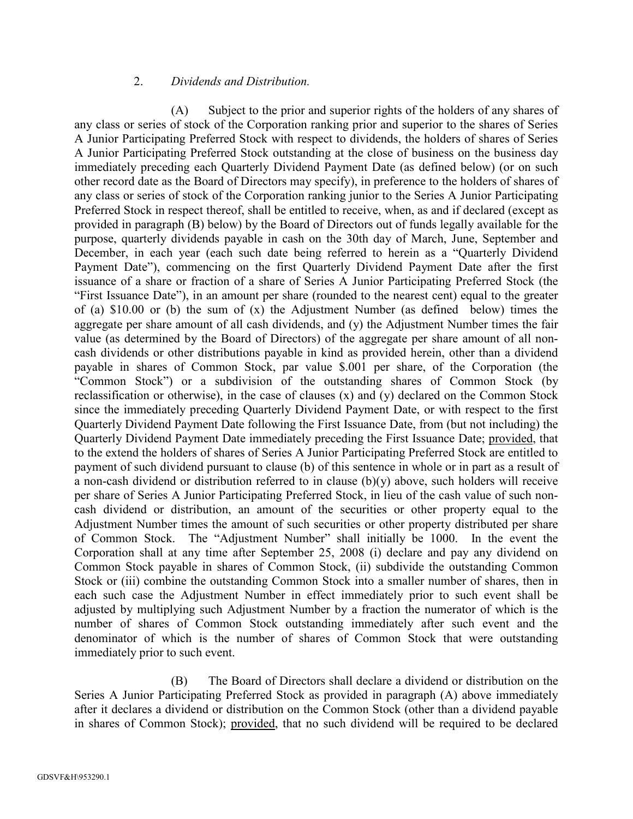# 2. *Dividends and Distribution.*

(A) Subject to the prior and superior rights of the holders of any shares of any class or series of stock of the Corporation ranking prior and superior to the shares of Series A Junior Participating Preferred Stock with respect to dividends, the holders of shares of Series A Junior Participating Preferred Stock outstanding at the close of business on the business day immediately preceding each Quarterly Dividend Payment Date (as defined below) (or on such other record date as the Board of Directors may specify), in preference to the holders of shares of any class or series of stock of the Corporation ranking junior to the Series A Junior Participating Preferred Stock in respect thereof, shall be entitled to receive, when, as and if declared (except as provided in paragraph (B) below) by the Board of Directors out of funds legally available for the purpose, quarterly dividends payable in cash on the 30th day of March, June, September and December, in each year (each such date being referred to herein as a "Quarterly Dividend Payment Date"), commencing on the first Quarterly Dividend Payment Date after the first issuance of a share or fraction of a share of Series A Junior Participating Preferred Stock (the "First Issuance Date"), in an amount per share (rounded to the nearest cent) equal to the greater of (a) \$10.00 or (b) the sum of (x) the Adjustment Number (as defined below) times the aggregate per share amount of all cash dividends, and (y) the Adjustment Number times the fair value (as determined by the Board of Directors) of the aggregate per share amount of all non cash dividends or other distributions payable in kind as provided herein, other than a dividend payable in shares of Common Stock, par value \$.001 per share, of the Corporation (the "Common Stock") or a subdivision of the outstanding shares of Common Stock (by reclassification or otherwise), in the case of clauses (x) and (y) declared on the Common Stock since the immediately preceding Quarterly Dividend Payment Date, or with respect to the first Quarterly Dividend Payment Date following the First Issuance Date, from (but not including) the Quarterly Dividend Payment Date immediately preceding the First Issuance Date; provided, that to the extend the holders of shares of Series A Junior Participating Preferred Stock are entitled to payment of such dividend pursuant to clause (b) of this sentence in whole or in part as a result of a non-cash dividend or distribution referred to in clause  $(b)(y)$  above, such holders will receive per share of Series A Junior Participating Preferred Stock, in lieu of the cash value of such noncash dividend or distribution, an amount of the securities or other property equal to the Adjustment Number times the amount of such securities or other property distributed per share of Common Stock. The "Adjustment Number" shall initially be 1000. In the event the Corporation shall at any time after September 25, 2008 (i) declare and pay any dividend on Common Stock payable in shares of Common Stock, (ii) subdivide the outstanding Common Stock or (iii) combine the outstanding Common Stock into a smaller number of shares, then in each such case the Adjustment Number in effect immediately prior to such event shall be adjusted by multiplying such Adjustment Number by a fraction the numerator of which is the number of shares of Common Stock outstanding immediately after such event and the denominator of which is the number of shares of Common Stock that were outstanding immediately prior to such event.

(B) The Board of Directors shall declare a dividend or distribution on the Series A Junior Participating Preferred Stock as provided in paragraph (A) above immediately after it declares a dividend or distribution on the Common Stock (other than a dividend payable in shares of Common Stock); provided, that no such dividend will be required to be declared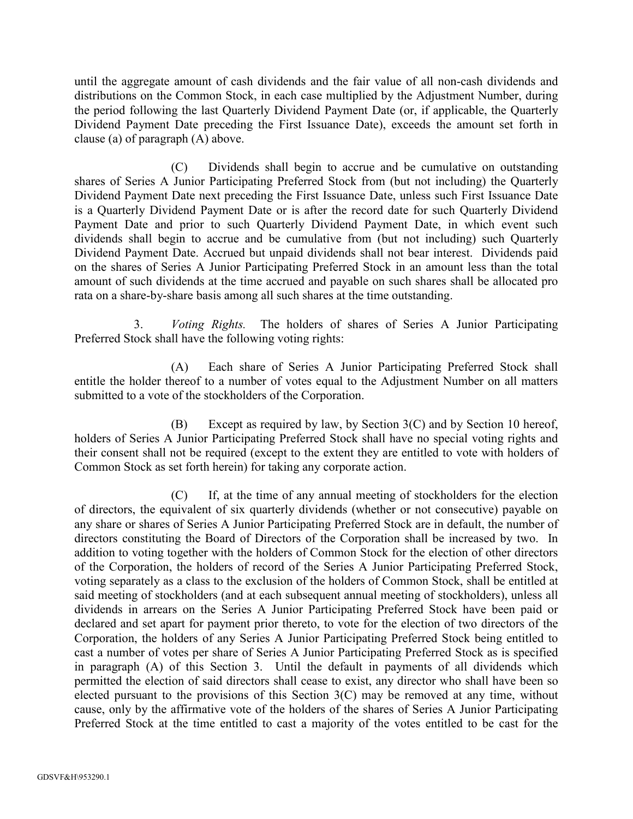until the aggregate amount of cash dividends and the fair value of all non-cash dividends and distributions on the Common Stock, in each case multiplied by the Adjustment Number, during the period following the last Quarterly Dividend Payment Date (or, if applicable, the Quarterly Dividend Payment Date preceding the First Issuance Date), exceeds the amount set forth in clause (a) of paragraph (A) above.

(C) Dividends shall begin to accrue and be cumulative on outstanding shares of Series A Junior Participating Preferred Stock from (but not including) the Quarterly Dividend Payment Date next preceding the First Issuance Date, unless such First Issuance Date is a Quarterly Dividend Payment Date or is after the record date for such Quarterly Dividend Payment Date and prior to such Quarterly Dividend Payment Date, in which event such dividends shall begin to accrue and be cumulative from (but not including) such Quarterly Dividend Payment Date. Accrued but unpaid dividends shall not bear interest. Dividends paid on the shares of Series A Junior Participating Preferred Stock in an amount less than the total amount of such dividends at the time accrued and payable on such shares shall be allocated pro rata on a share-by-share basis among all such shares at the time outstanding.

3. *Voting Rights.* The holders of shares of Series A Junior Participating Preferred Stock shall have the following voting rights:

(A) Each share of Series A Junior Participating Preferred Stock shall entitle the holder thereof to a number of votes equal to the Adjustment Number on all matters submitted to a vote of the stockholders of the Corporation.

(B) Except as required by law, by Section 3(C) and by Section 10 hereof, holders of Series A Junior Participating Preferred Stock shall have no special voting rights and their consent shall not be required (except to the extent they are entitled to vote with holders of Common Stock as set forth herein) for taking any corporate action.

(C) If, at the time of any annual meeting of stockholders for the election of directors, the equivalent of six quarterly dividends (whether or not consecutive) payable on any share or shares of Series A Junior Participating Preferred Stock are in default, the number of directors constituting the Board of Directors of the Corporation shall be increased by two. In addition to voting together with the holders of Common Stock for the election of other directors of the Corporation, the holders of record of the Series A Junior Participating Preferred Stock, voting separately as a class to the exclusion of the holders of Common Stock, shall be entitled at said meeting of stockholders (and at each subsequent annual meeting of stockholders), unless all dividends in arrears on the Series A Junior Participating Preferred Stock have been paid or declared and set apart for payment prior thereto, to vote for the election of two directors of the Corporation, the holders of any Series A Junior Participating Preferred Stock being entitled to cast a number of votes per share of Series A Junior Participating Preferred Stock as is specified in paragraph (A) of this Section 3. Until the default in payments of all dividends which permitted the election of said directors shall cease to exist, any director who shall have been so elected pursuant to the provisions of this Section 3(C) may be removed at any time, without cause, only by the affirmative vote of the holders of the shares of Series A Junior Participating Preferred Stock at the time entitled to cast a majority of the votes entitled to be cast for the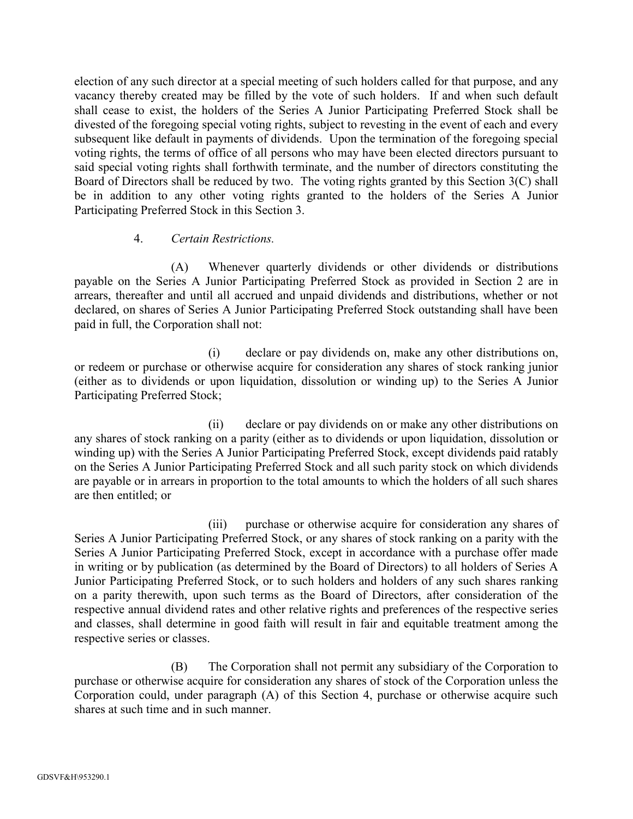election of any such director at a special meeting of such holders called for that purpose, and any vacancy thereby created may be filled by the vote of such holders. If and when such default shall cease to exist, the holders of the Series A Junior Participating Preferred Stock shall be divested of the foregoing special voting rights, subject to revesting in the event of each and every subsequent like default in payments of dividends. Upon the termination of the foregoing special voting rights, the terms of office of all persons who may have been elected directors pursuant to said special voting rights shall forthwith terminate, and the number of directors constituting the Board of Directors shall be reduced by two. The voting rights granted by this Section 3(C) shall be in addition to any other voting rights granted to the holders of the Series A Junior Participating Preferred Stock in this Section 3.

# 4. *Certain Restrictions.*

(A) Whenever quarterly dividends or other dividends or distributions payable on the Series A Junior Participating Preferred Stock as provided in Section 2 are in arrears, thereafter and until all accrued and unpaid dividends and distributions, whether or not declared, on shares of Series A Junior Participating Preferred Stock outstanding shall have been paid in full, the Corporation shall not:

(i) declare or pay dividends on, make any other distributions on, or redeem or purchase or otherwise acquire for consideration any shares of stock ranking junior (either as to dividends or upon liquidation, dissolution orwinding up) to the Series A Junior Participating Preferred Stock;

(ii) declare or pay dividends on or make any other distributions on any shares of stock ranking on a parity (either as to dividends or upon liquidation, dissolution or winding up) with the Series A Junior Participating Preferred Stock, except dividends paid ratably on the Series A Junior Participating Preferred Stock and all such parity stock on which dividends are payable or in arrears in proportion to the total amounts to which the holders of all such shares are then entitled; or

(iii) purchase or otherwise acquire for consideration any shares of Series A Junior Participating Preferred Stock, or any shares of stock ranking on a parity with the Series A Junior Participating Preferred Stock, except in accordance with a purchase offer made in writing or by publication (as determined by the Board of Directors) to all holders of Series A Junior Participating Preferred Stock, or to such holders and holders of any such shares ranking on a parity therewith, upon such terms as the Board of Directors, after consideration of the respective annual dividend rates and other relative rights and preferences of the respective series and classes, shall determine in good faith will result in fair and equitable treatment among the respective series or classes.

(B) The Corporation shall not permit any subsidiary of the Corporation to purchase or otherwise acquire for consideration any shares of stock of the Corporation unless the Corporation could, under paragraph (A) of this Section 4, purchase or otherwise acquire such shares at such time and in such manner.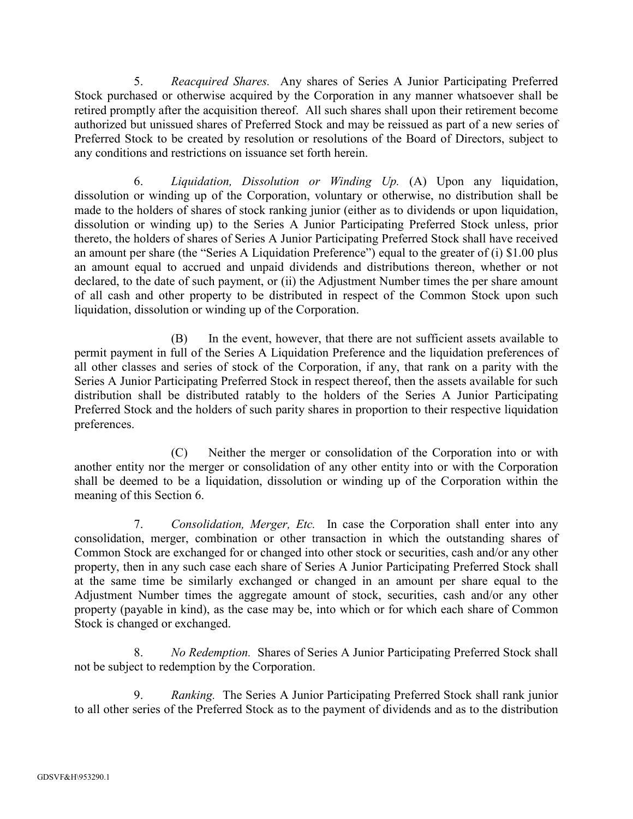5. *Reacquired Shares.* Any shares of Series A Junior Participating Preferred Stock purchased or otherwise acquired by the Corporation in any manner whatsoever shall be retired promptly after the acquisition thereof. All such shares shall upon their retirement become authorized but unissued shares of Preferred Stock and may be reissued as part of a new series of Preferred Stock to be created by resolution or resolutions of the Board of Directors, subject to any conditions and restrictions on issuance set forth herein.

6. *Liquidation, Dissolution or Winding Up.* (A) Upon any liquidation, dissolution or winding up of the Corporation, voluntary or otherwise, no distribution shall be made to the holders of shares of stock ranking junior (either as to dividends or upon liquidation, dissolution or winding up) to the Series A Junior Participating Preferred Stock unless, prior thereto, the holders of shares of Series A Junior Participating Preferred Stock shall have received an amount per share (the "Series A Liquidation Preference") equal to the greater of (i) \$1.00 plus an amount equal to accrued and unpaid dividends and distributions thereon, whether or not declared, to the date of such payment, or (ii) the Adjustment Number times the per share amount of all cash and other property to be distributed in respect of the Common Stock upon such liquidation, dissolution or winding up of the Corporation.

(B) In the event, however, that there are not sufficient assets available to permit payment in full of the Series A Liquidation Preference and the liquidation preferences of all other classes and series of stock of the Corporation, if any, that rank on a parity with the Series A Junior Participating Preferred Stock in respect thereof, then the assets available for such distribution shall be distributed ratably to the holders of the Series A Junior Participating Preferred Stock and the holders of such parity shares in proportion to their respective liquidation preferences.

(C) Neither the merger or consolidation of the Corporation into or with another entity nor the merger or consolidation of any other entity into or with the Corporation shall be deemed to be a liquidation, dissolution or winding up of the Corporation within the meaning of this Section 6.

7. *Consolidation, Merger, Etc.* In case the Corporation shall enter into any consolidation, merger, combination or other transaction in which the outstanding shares of Common Stock are exchanged for or changed into other stock or securities, cash and/or any other property, then in any such case each share of Series A Junior Participating Preferred Stock shall at the same time be similarly exchanged or changed in an amount per share equal to the Adjustment Number times the aggregate amount of stock, securities, cash and/or any other property (payable in kind), as the case may be, into which or for which each share of Common Stock is changed or exchanged.

8. *No Redemption.* Shares of Series A Junior Participating Preferred Stock shall not be subject to redemption by the Corporation.

9. *Ranking.* The Series A Junior Participating Preferred Stock shall rank junior to all other series of the Preferred Stock as to the payment of dividends and as to the distribution